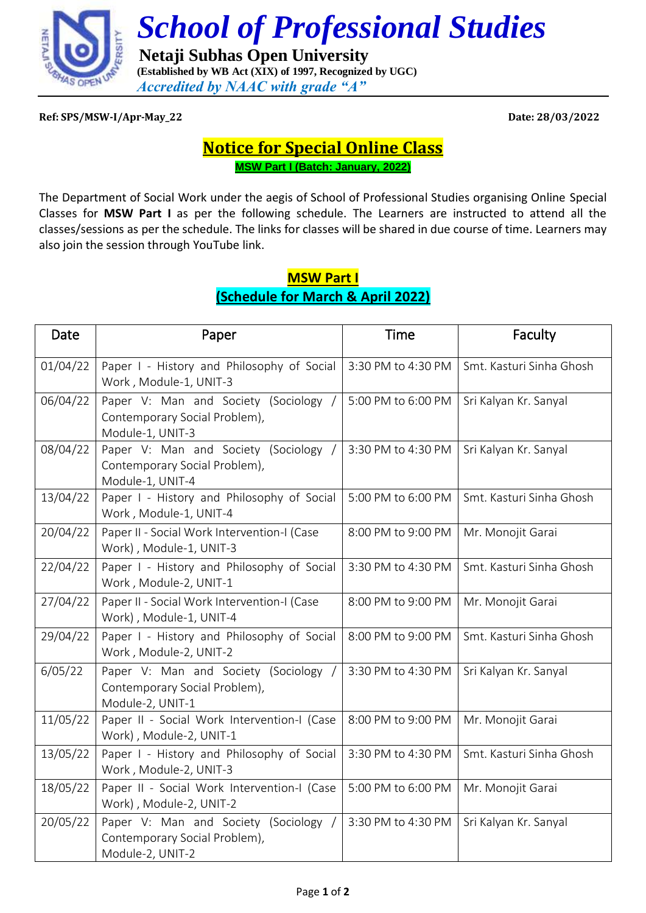

 *School of Professional Studies*

 **Netaji Subhas Open University (Established by WB Act (XIX) of 1997, Recognized by UGC)** *Accredited by NAAC with grade "A"*

**Ref: SPS/MSW-I/Apr-May\_22 Date: 28/03/2022**

## **Notice for Special Online Class MSW Part I (Batch: January, 2022)**

The Department of Social Work under the aegis of School of Professional Studies organising Online Special Classes for **MSW Part I** as per the following schedule. The Learners are instructed to attend all the classes/sessions as per the schedule. The links for classes will be shared in due course of time. Learners may also join the session through YouTube link.

## **MSW Part I (Schedule for March & April 2022)**

| Date     | Paper                                                                                      | <b>Time</b>        | Faculty                  |
|----------|--------------------------------------------------------------------------------------------|--------------------|--------------------------|
| 01/04/22 | Paper I - History and Philosophy of Social<br>Work, Module-1, UNIT-3                       | 3:30 PM to 4:30 PM | Smt. Kasturi Sinha Ghosh |
| 06/04/22 | Paper V: Man and Society (Sociology /<br>Contemporary Social Problem),<br>Module-1, UNIT-3 | 5:00 PM to 6:00 PM | Sri Kalyan Kr. Sanyal    |
| 08/04/22 | Paper V: Man and Society (Sociology<br>Contemporary Social Problem),<br>Module-1, UNIT-4   | 3:30 PM to 4:30 PM | Sri Kalyan Kr. Sanyal    |
| 13/04/22 | Paper I - History and Philosophy of Social<br>Work, Module-1, UNIT-4                       | 5:00 PM to 6:00 PM | Smt. Kasturi Sinha Ghosh |
| 20/04/22 | Paper II - Social Work Intervention-I (Case<br>Work), Module-1, UNIT-3                     | 8:00 PM to 9:00 PM | Mr. Monojit Garai        |
| 22/04/22 | Paper I - History and Philosophy of Social<br>Work, Module-2, UNIT-1                       | 3:30 PM to 4:30 PM | Smt. Kasturi Sinha Ghosh |
| 27/04/22 | Paper II - Social Work Intervention-I (Case<br>Work), Module-1, UNIT-4                     | 8:00 PM to 9:00 PM | Mr. Monojit Garai        |
| 29/04/22 | Paper I - History and Philosophy of Social<br>Work, Module-2, UNIT-2                       | 8:00 PM to 9:00 PM | Smt. Kasturi Sinha Ghosh |
| 6/05/22  | Paper V: Man and Society (Sociology<br>Contemporary Social Problem),<br>Module-2, UNIT-1   | 3:30 PM to 4:30 PM | Sri Kalyan Kr. Sanyal    |
| 11/05/22 | Paper II - Social Work Intervention-I (Case<br>Work), Module-2, UNIT-1                     | 8:00 PM to 9:00 PM | Mr. Monojit Garai        |
| 13/05/22 | Paper I - History and Philosophy of Social<br>Work, Module-2, UNIT-3                       | 3:30 PM to 4:30 PM | Smt. Kasturi Sinha Ghosh |
| 18/05/22 | Paper II - Social Work Intervention-I (Case<br>Work), Module-2, UNIT-2                     | 5:00 PM to 6:00 PM | Mr. Monojit Garai        |
| 20/05/22 | Paper V: Man and Society (Sociology /<br>Contemporary Social Problem),<br>Module-2, UNIT-2 | 3:30 PM to 4:30 PM | Sri Kalyan Kr. Sanyal    |